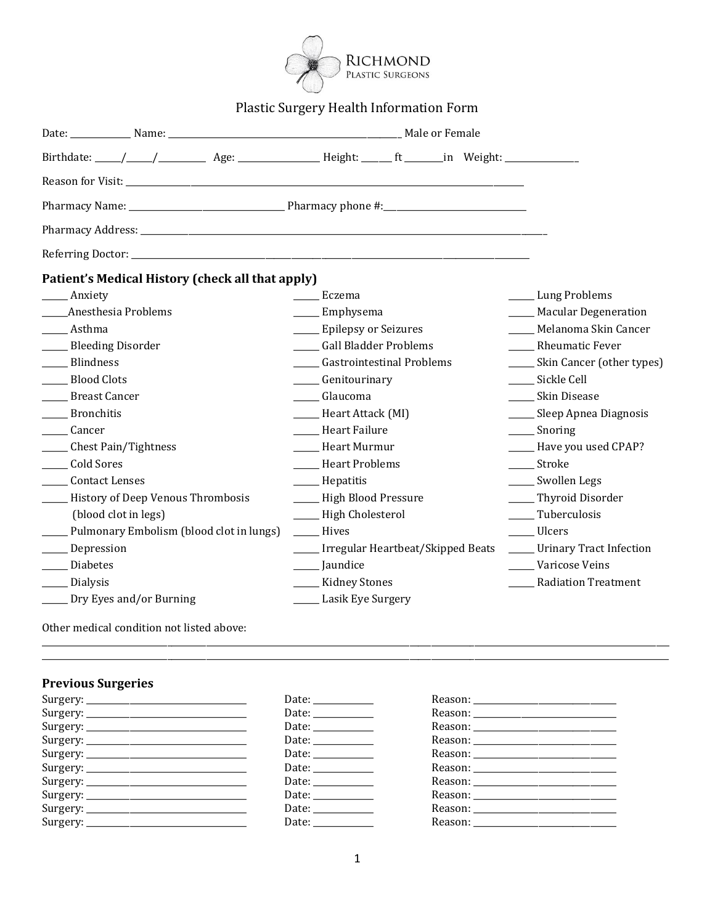

# Plastic Surgery Health Information Form

| Patient's Medical History (check all that apply) |                                         |                                  |
|--------------------------------------------------|-----------------------------------------|----------------------------------|
| ___ Anxiety                                      | Eczema                                  | ____ Lung Problems               |
| Anesthesia Problems                              | _____ Emphysema                         | ____ Macular Degeneration        |
| ____ Asthma                                      | ____ Epilepsy or Seizures               | Melanoma Skin Cancer             |
| ____ Bleeding Disorder                           | Gall Bladder Problems                   | <b>Rheumatic Fever</b>           |
| ____ Blindness                                   | <b>Gastrointestinal Problems</b>        | ______ Skin Cancer (other types) |
| _____ Blood Clots                                | _____ Genitourinary                     | Sickle Cell                      |
| <b>Breast Cancer</b>                             | Glaucoma                                | Skin Disease                     |
| Bronchitis                                       | _____ Heart Attack (MI)                 | ____ Sleep Apnea Diagnosis       |
| ______ Cancer                                    | Heart Failure                           | $\frac{1}{2}$ Snoring            |
| ______ Chest Pain/Tightness                      | Heart Murmur                            | ____ Have you used CPAP?         |
| Cold Sores                                       | Heart Problems                          | ______ Stroke                    |
| _____ Contact Lenses                             | _____ Hepatitis                         | ____ Swollen Legs                |
| ____ History of Deep Venous Thrombosis           | ____ High Blood Pressure                | ____Thyroid Disorder             |
| (blood clot in legs)                             | ____ High Cholesterol                   | Tuberculosis                     |
| ____ Pulmonary Embolism (blood clot in lungs)    | <b>Hives</b>                            | ____ Ulcers                      |
| ____ Depression                                  | _____ Irregular Heartbeat/Skipped Beats | ____ Urinary Tract Infection     |
| Diabetes                                         | ____ Jaundice                           | Varicose Veins                   |
| _____ Dialysis                                   | ____ Kidney Stones                      | <b>Radiation Treatment</b>       |
| _____ Dry Eyes and/or Burning                    | _____ Lasik Eye Surgery                 |                                  |

Other medical condition not listed above:

# **Previous Surgeries**

| Date: $\frac{1}{\sqrt{1-\frac{1}{2}}}\frac{1}{\sqrt{1-\frac{1}{2}}}\frac{1}{\sqrt{1-\frac{1}{2}}}\frac{1}{\sqrt{1-\frac{1}{2}}}\frac{1}{\sqrt{1-\frac{1}{2}}}\frac{1}{\sqrt{1-\frac{1}{2}}}\frac{1}{\sqrt{1-\frac{1}{2}}}\frac{1}{\sqrt{1-\frac{1}{2}}}\frac{1}{\sqrt{1-\frac{1}{2}}}\frac{1}{\sqrt{1-\frac{1}{2}}}\frac{1}{\sqrt{1-\frac{1}{2}}}\frac{1}{\sqrt{1-\frac{1}{2}}}\frac{1}{\sqrt{1-\frac{1}{2}}}\frac{1}{\$ |  |
|--------------------------------------------------------------------------------------------------------------------------------------------------------------------------------------------------------------------------------------------------------------------------------------------------------------------------------------------------------------------------------------------------------------------------|--|
| Date: $\frac{1}{\sqrt{1-\frac{1}{2}}}\frac{1}{\sqrt{1-\frac{1}{2}}}\frac{1}{\sqrt{1-\frac{1}{2}}}\frac{1}{\sqrt{1-\frac{1}{2}}}\frac{1}{\sqrt{1-\frac{1}{2}}}\frac{1}{\sqrt{1-\frac{1}{2}}}\frac{1}{\sqrt{1-\frac{1}{2}}}\frac{1}{\sqrt{1-\frac{1}{2}}}\frac{1}{\sqrt{1-\frac{1}{2}}}\frac{1}{\sqrt{1-\frac{1}{2}}}\frac{1}{\sqrt{1-\frac{1}{2}}}\frac{1}{\sqrt{1-\frac{1}{2}}}\frac{1}{\sqrt{1-\frac{1}{2}}}\frac{1}{\$ |  |
| Date: $\frac{1}{\sqrt{1-\frac{1}{2}} \cdot \frac{1}{2}}$                                                                                                                                                                                                                                                                                                                                                                 |  |
| Date: $\frac{1}{\sqrt{1-\frac{1}{2}}}\frac{1}{\sqrt{1-\frac{1}{2}}}\frac{1}{\sqrt{1-\frac{1}{2}}}\frac{1}{\sqrt{1-\frac{1}{2}}}\frac{1}{\sqrt{1-\frac{1}{2}}}\frac{1}{\sqrt{1-\frac{1}{2}}}\frac{1}{\sqrt{1-\frac{1}{2}}}\frac{1}{\sqrt{1-\frac{1}{2}}}\frac{1}{\sqrt{1-\frac{1}{2}}}\frac{1}{\sqrt{1-\frac{1}{2}}}\frac{1}{\sqrt{1-\frac{1}{2}}}\frac{1}{\sqrt{1-\frac{1}{2}}}\frac{1}{\sqrt{1-\frac{1}{2}}}\frac{1}{\$ |  |
|                                                                                                                                                                                                                                                                                                                                                                                                                          |  |
| Date: $\frac{1}{\sqrt{1-\frac{1}{2}} \cdot \frac{1}{2}}$                                                                                                                                                                                                                                                                                                                                                                 |  |
| Date: $\_\_$                                                                                                                                                                                                                                                                                                                                                                                                             |  |
| Date: $\frac{1}{\sqrt{1-\frac{1}{2}}}\frac{1}{\sqrt{1-\frac{1}{2}}}\frac{1}{\sqrt{1-\frac{1}{2}}}\frac{1}{\sqrt{1-\frac{1}{2}}}\frac{1}{\sqrt{1-\frac{1}{2}}}\frac{1}{\sqrt{1-\frac{1}{2}}}\frac{1}{\sqrt{1-\frac{1}{2}}}\frac{1}{\sqrt{1-\frac{1}{2}}}\frac{1}{\sqrt{1-\frac{1}{2}}}\frac{1}{\sqrt{1-\frac{1}{2}}}\frac{1}{\sqrt{1-\frac{1}{2}}}\frac{1}{\sqrt{1-\frac{1}{2}}}\frac{1}{\sqrt{1-\frac{1}{2}}}\frac{1}{\$ |  |
| Date: _____________                                                                                                                                                                                                                                                                                                                                                                                                      |  |
| Date: $\frac{1}{\sqrt{1-\frac{1}{2}} \cdot \frac{1}{2}}$                                                                                                                                                                                                                                                                                                                                                                 |  |
|                                                                                                                                                                                                                                                                                                                                                                                                                          |  |

\_\_\_\_\_\_\_\_\_\_\_\_\_\_\_\_\_\_\_\_\_\_\_\_\_\_\_\_\_\_\_\_\_\_\_\_\_\_\_\_\_\_\_\_\_\_\_\_\_\_\_\_\_\_\_\_\_\_\_\_\_\_\_\_\_\_\_\_\_\_\_\_\_\_\_\_\_\_\_\_\_\_\_\_\_\_\_\_\_\_\_\_\_\_\_\_\_\_\_\_\_\_\_\_\_\_\_\_\_\_\_\_\_\_\_\_\_\_\_\_\_\_\_\_\_\_\_\_\_\_\_\_\_\_\_\_\_\_\_\_\_\_\_\_\_ \_\_\_\_\_\_\_\_\_\_\_\_\_\_\_\_\_\_\_\_\_\_\_\_\_\_\_\_\_\_\_\_\_\_\_\_\_\_\_\_\_\_\_\_\_\_\_\_\_\_\_\_\_\_\_\_\_\_\_\_\_\_\_\_\_\_\_\_\_\_\_\_\_\_\_\_\_\_\_\_\_\_\_\_\_\_\_\_\_\_\_\_\_\_\_\_\_\_\_\_\_\_\_\_\_\_\_\_\_\_\_\_\_\_\_\_\_\_\_\_\_\_\_\_\_\_\_\_\_\_\_\_\_\_\_\_\_\_\_\_\_\_\_\_\_